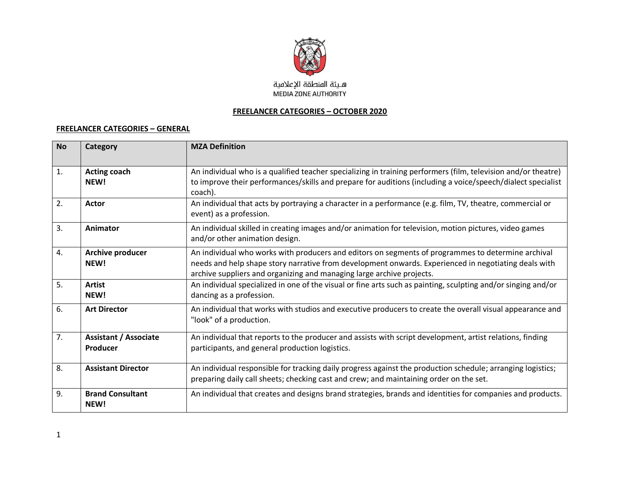

## **FREELANCER CATEGORIES – OCTOBER 2020**

## **FREELANCER CATEGORIES – GENERAL**

| <b>No</b>      | Category                                 | <b>MZA Definition</b>                                                                                                                                                                                                                                                               |
|----------------|------------------------------------------|-------------------------------------------------------------------------------------------------------------------------------------------------------------------------------------------------------------------------------------------------------------------------------------|
| $\mathbf{1}$ . | <b>Acting coach</b><br>NEW!              | An individual who is a qualified teacher specializing in training performers (film, television and/or theatre)<br>to improve their performances/skills and prepare for auditions (including a voice/speech/dialect specialist<br>coach).                                            |
| 2.             | Actor                                    | An individual that acts by portraying a character in a performance (e.g. film, TV, theatre, commercial or<br>event) as a profession.                                                                                                                                                |
| 3.             | Animator                                 | An individual skilled in creating images and/or animation for television, motion pictures, video games<br>and/or other animation design.                                                                                                                                            |
| 4.             | <b>Archive producer</b><br>NEW!          | An individual who works with producers and editors on segments of programmes to determine archival<br>needs and help shape story narrative from development onwards. Experienced in negotiating deals with<br>archive suppliers and organizing and managing large archive projects. |
| 5 <sub>1</sub> | <b>Artist</b><br>NEW!                    | An individual specialized in one of the visual or fine arts such as painting, sculpting and/or singing and/or<br>dancing as a profession.                                                                                                                                           |
| 6.             | <b>Art Director</b>                      | An individual that works with studios and executive producers to create the overall visual appearance and<br>"look" of a production.                                                                                                                                                |
| 7.             | <b>Assistant / Associate</b><br>Producer | An individual that reports to the producer and assists with script development, artist relations, finding<br>participants, and general production logistics.                                                                                                                        |
| 8.             | <b>Assistant Director</b>                | An individual responsible for tracking daily progress against the production schedule; arranging logistics;<br>preparing daily call sheets; checking cast and crew; and maintaining order on the set.                                                                               |
| 9.             | <b>Brand Consultant</b><br>NEW!          | An individual that creates and designs brand strategies, brands and identities for companies and products.                                                                                                                                                                          |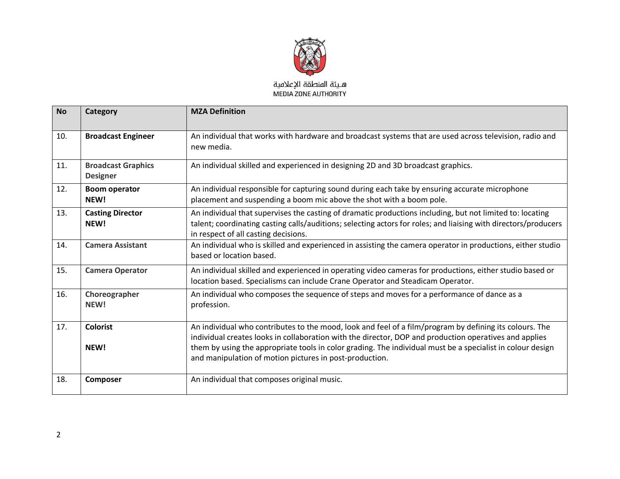

| <b>No</b> | Category                                     | <b>MZA Definition</b>                                                                                                                                                                                                                                                                                                                                                                      |
|-----------|----------------------------------------------|--------------------------------------------------------------------------------------------------------------------------------------------------------------------------------------------------------------------------------------------------------------------------------------------------------------------------------------------------------------------------------------------|
| 10.       | <b>Broadcast Engineer</b>                    | An individual that works with hardware and broadcast systems that are used across television, radio and<br>new media.                                                                                                                                                                                                                                                                      |
| 11.       | <b>Broadcast Graphics</b><br><b>Designer</b> | An individual skilled and experienced in designing 2D and 3D broadcast graphics.                                                                                                                                                                                                                                                                                                           |
| 12.       | <b>Boom operator</b><br>NEW!                 | An individual responsible for capturing sound during each take by ensuring accurate microphone<br>placement and suspending a boom mic above the shot with a boom pole.                                                                                                                                                                                                                     |
| 13.       | <b>Casting Director</b><br>NEW!              | An individual that supervises the casting of dramatic productions including, but not limited to: locating<br>talent; coordinating casting calls/auditions; selecting actors for roles; and liaising with directors/producers<br>in respect of all casting decisions.                                                                                                                       |
| 14.       | <b>Camera Assistant</b>                      | An individual who is skilled and experienced in assisting the camera operator in productions, either studio<br>based or location based.                                                                                                                                                                                                                                                    |
| 15.       | <b>Camera Operator</b>                       | An individual skilled and experienced in operating video cameras for productions, either studio based or<br>location based. Specialisms can include Crane Operator and Steadicam Operator.                                                                                                                                                                                                 |
| 16.       | Choreographer<br>NEW!                        | An individual who composes the sequence of steps and moves for a performance of dance as a<br>profession.                                                                                                                                                                                                                                                                                  |
| 17.       | <b>Colorist</b><br>NEW!                      | An individual who contributes to the mood, look and feel of a film/program by defining its colours. The<br>individual creates looks in collaboration with the director, DOP and production operatives and applies<br>them by using the appropriate tools in color grading. The individual must be a specialist in colour design<br>and manipulation of motion pictures in post-production. |
| 18.       | Composer                                     | An individual that composes original music.                                                                                                                                                                                                                                                                                                                                                |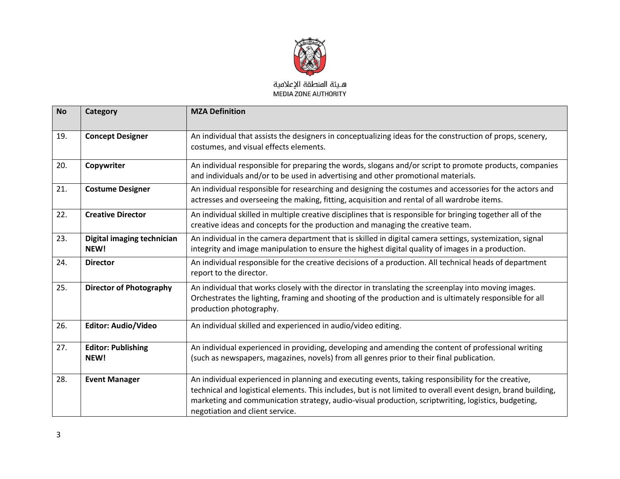

| <b>No</b> | Category                           | <b>MZA Definition</b>                                                                                                                                                                                                                                                                                                                                          |
|-----------|------------------------------------|----------------------------------------------------------------------------------------------------------------------------------------------------------------------------------------------------------------------------------------------------------------------------------------------------------------------------------------------------------------|
| 19.       | <b>Concept Designer</b>            | An individual that assists the designers in conceptualizing ideas for the construction of props, scenery,<br>costumes, and visual effects elements.                                                                                                                                                                                                            |
| 20.       | Copywriter                         | An individual responsible for preparing the words, slogans and/or script to promote products, companies<br>and individuals and/or to be used in advertising and other promotional materials.                                                                                                                                                                   |
| 21.       | <b>Costume Designer</b>            | An individual responsible for researching and designing the costumes and accessories for the actors and<br>actresses and overseeing the making, fitting, acquisition and rental of all wardrobe items.                                                                                                                                                         |
| 22.       | <b>Creative Director</b>           | An individual skilled in multiple creative disciplines that is responsible for bringing together all of the<br>creative ideas and concepts for the production and managing the creative team.                                                                                                                                                                  |
| 23.       | Digital imaging technician<br>NEW! | An individual in the camera department that is skilled in digital camera settings, systemization, signal<br>integrity and image manipulation to ensure the highest digital quality of images in a production.                                                                                                                                                  |
| 24.       | <b>Director</b>                    | An individual responsible for the creative decisions of a production. All technical heads of department<br>report to the director.                                                                                                                                                                                                                             |
| 25.       | <b>Director of Photography</b>     | An individual that works closely with the director in translating the screenplay into moving images.<br>Orchestrates the lighting, framing and shooting of the production and is ultimately responsible for all<br>production photography.                                                                                                                     |
| 26.       | <b>Editor: Audio/Video</b>         | An individual skilled and experienced in audio/video editing.                                                                                                                                                                                                                                                                                                  |
| 27.       | <b>Editor: Publishing</b><br>NEW!  | An individual experienced in providing, developing and amending the content of professional writing<br>(such as newspapers, magazines, novels) from all genres prior to their final publication.                                                                                                                                                               |
| 28.       | <b>Event Manager</b>               | An individual experienced in planning and executing events, taking responsibility for the creative,<br>technical and logistical elements. This includes, but is not limited to overall event design, brand building,<br>marketing and communication strategy, audio-visual production, scriptwriting, logistics, budgeting,<br>negotiation and client service. |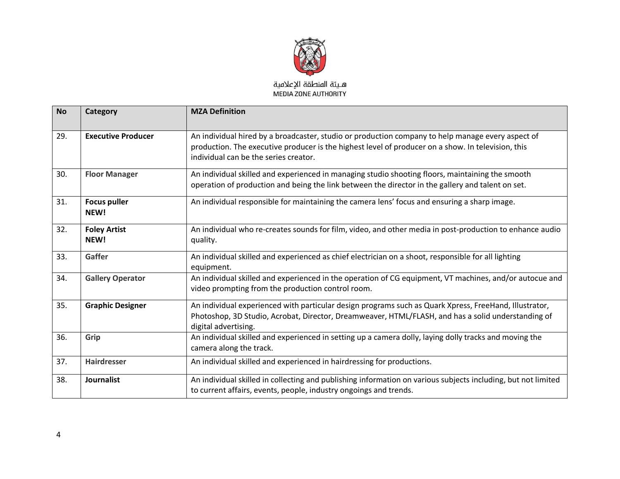

| <b>No</b> | Category                    | <b>MZA Definition</b>                                                                                                                                                                                                                            |
|-----------|-----------------------------|--------------------------------------------------------------------------------------------------------------------------------------------------------------------------------------------------------------------------------------------------|
| 29.       | <b>Executive Producer</b>   | An individual hired by a broadcaster, studio or production company to help manage every aspect of<br>production. The executive producer is the highest level of producer on a show. In television, this<br>individual can be the series creator. |
| 30.       | <b>Floor Manager</b>        | An individual skilled and experienced in managing studio shooting floors, maintaining the smooth<br>operation of production and being the link between the director in the gallery and talent on set.                                            |
| 31.       | <b>Focus puller</b><br>NEW! | An individual responsible for maintaining the camera lens' focus and ensuring a sharp image.                                                                                                                                                     |
| 32.       | <b>Foley Artist</b><br>NEW! | An individual who re-creates sounds for film, video, and other media in post-production to enhance audio<br>quality.                                                                                                                             |
| 33.       | Gaffer                      | An individual skilled and experienced as chief electrician on a shoot, responsible for all lighting<br>equipment.                                                                                                                                |
| 34.       | <b>Gallery Operator</b>     | An individual skilled and experienced in the operation of CG equipment, VT machines, and/or autocue and<br>video prompting from the production control room.                                                                                     |
| 35.       | <b>Graphic Designer</b>     | An individual experienced with particular design programs such as Quark Xpress, FreeHand, Illustrator,<br>Photoshop, 3D Studio, Acrobat, Director, Dreamweaver, HTML/FLASH, and has a solid understanding of<br>digital advertising.             |
| 36.       | Grip                        | An individual skilled and experienced in setting up a camera dolly, laying dolly tracks and moving the<br>camera along the track.                                                                                                                |
| 37.       | <b>Hairdresser</b>          | An individual skilled and experienced in hairdressing for productions.                                                                                                                                                                           |
| 38.       | <b>Journalist</b>           | An individual skilled in collecting and publishing information on various subjects including, but not limited<br>to current affairs, events, people, industry ongoings and trends.                                                               |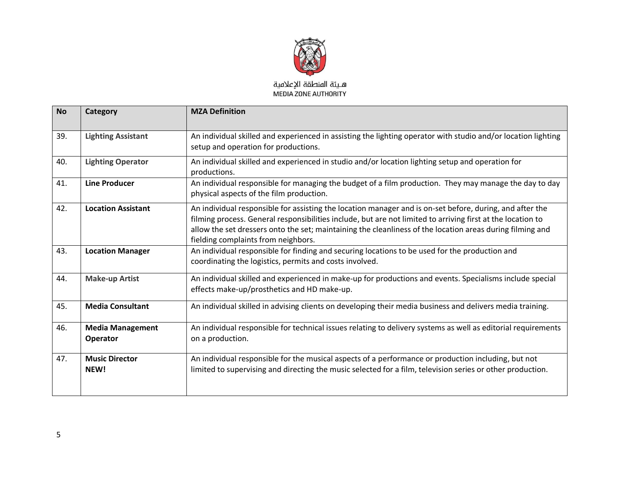

| <b>No</b> | Category                            | <b>MZA Definition</b>                                                                                                                                                                                                                                                                                                                                                       |
|-----------|-------------------------------------|-----------------------------------------------------------------------------------------------------------------------------------------------------------------------------------------------------------------------------------------------------------------------------------------------------------------------------------------------------------------------------|
| 39.       | <b>Lighting Assistant</b>           | An individual skilled and experienced in assisting the lighting operator with studio and/or location lighting<br>setup and operation for productions.                                                                                                                                                                                                                       |
| 40.       | <b>Lighting Operator</b>            | An individual skilled and experienced in studio and/or location lighting setup and operation for<br>productions.                                                                                                                                                                                                                                                            |
| 41.       | <b>Line Producer</b>                | An individual responsible for managing the budget of a film production. They may manage the day to day<br>physical aspects of the film production.                                                                                                                                                                                                                          |
| 42.       | <b>Location Assistant</b>           | An individual responsible for assisting the location manager and is on-set before, during, and after the<br>filming process. General responsibilities include, but are not limited to arriving first at the location to<br>allow the set dressers onto the set; maintaining the cleanliness of the location areas during filming and<br>fielding complaints from neighbors. |
| 43.       | <b>Location Manager</b>             | An individual responsible for finding and securing locations to be used for the production and<br>coordinating the logistics, permits and costs involved.                                                                                                                                                                                                                   |
| 44.       | <b>Make-up Artist</b>               | An individual skilled and experienced in make-up for productions and events. Specialisms include special<br>effects make-up/prosthetics and HD make-up.                                                                                                                                                                                                                     |
| 45.       | <b>Media Consultant</b>             | An individual skilled in advising clients on developing their media business and delivers media training.                                                                                                                                                                                                                                                                   |
| 46.       | <b>Media Management</b><br>Operator | An individual responsible for technical issues relating to delivery systems as well as editorial requirements<br>on a production.                                                                                                                                                                                                                                           |
| 47.       | <b>Music Director</b><br>NEW!       | An individual responsible for the musical aspects of a performance or production including, but not<br>limited to supervising and directing the music selected for a film, television series or other production.                                                                                                                                                           |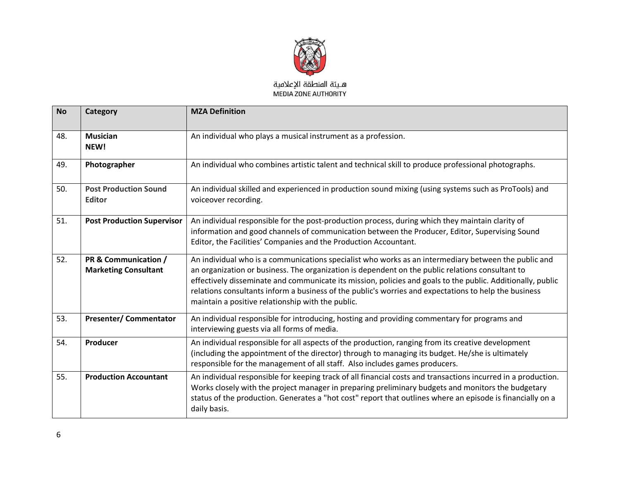

| <b>No</b> | Category                                            | <b>MZA Definition</b>                                                                                                                                                                                                                                                                                                                                                                                                                                                                 |
|-----------|-----------------------------------------------------|---------------------------------------------------------------------------------------------------------------------------------------------------------------------------------------------------------------------------------------------------------------------------------------------------------------------------------------------------------------------------------------------------------------------------------------------------------------------------------------|
| 48.       | <b>Musician</b><br>NEW!                             | An individual who plays a musical instrument as a profession.                                                                                                                                                                                                                                                                                                                                                                                                                         |
| 49.       | Photographer                                        | An individual who combines artistic talent and technical skill to produce professional photographs.                                                                                                                                                                                                                                                                                                                                                                                   |
| 50.       | <b>Post Production Sound</b><br><b>Editor</b>       | An individual skilled and experienced in production sound mixing (using systems such as ProTools) and<br>voiceover recording.                                                                                                                                                                                                                                                                                                                                                         |
| 51.       | <b>Post Production Supervisor</b>                   | An individual responsible for the post-production process, during which they maintain clarity of<br>information and good channels of communication between the Producer, Editor, Supervising Sound<br>Editor, the Facilities' Companies and the Production Accountant.                                                                                                                                                                                                                |
| 52.       | PR & Communication /<br><b>Marketing Consultant</b> | An individual who is a communications specialist who works as an intermediary between the public and<br>an organization or business. The organization is dependent on the public relations consultant to<br>effectively disseminate and communicate its mission, policies and goals to the public. Additionally, public<br>relations consultants inform a business of the public's worries and expectations to help the business<br>maintain a positive relationship with the public. |
| 53.       | <b>Presenter/Commentator</b>                        | An individual responsible for introducing, hosting and providing commentary for programs and<br>interviewing guests via all forms of media.                                                                                                                                                                                                                                                                                                                                           |
| 54.       | Producer                                            | An individual responsible for all aspects of the production, ranging from its creative development<br>(including the appointment of the director) through to managing its budget. He/she is ultimately<br>responsible for the management of all staff. Also includes games producers.                                                                                                                                                                                                 |
| 55.       | <b>Production Accountant</b>                        | An individual responsible for keeping track of all financial costs and transactions incurred in a production.<br>Works closely with the project manager in preparing preliminary budgets and monitors the budgetary<br>status of the production. Generates a "hot cost" report that outlines where an episode is financially on a<br>daily basis.                                                                                                                                     |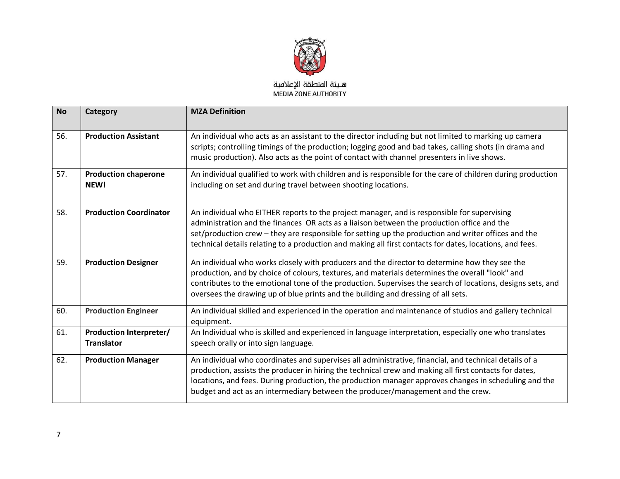

| <b>No</b> | Category                                            | <b>MZA Definition</b>                                                                                                                                                                                                                                                                                                                                                                                        |
|-----------|-----------------------------------------------------|--------------------------------------------------------------------------------------------------------------------------------------------------------------------------------------------------------------------------------------------------------------------------------------------------------------------------------------------------------------------------------------------------------------|
| 56.       | <b>Production Assistant</b>                         | An individual who acts as an assistant to the director including but not limited to marking up camera<br>scripts; controlling timings of the production; logging good and bad takes, calling shots (in drama and<br>music production). Also acts as the point of contact with channel presenters in live shows.                                                                                              |
| 57.       | <b>Production chaperone</b><br>NEW!                 | An individual qualified to work with children and is responsible for the care of children during production<br>including on set and during travel between shooting locations.                                                                                                                                                                                                                                |
| 58.       | <b>Production Coordinator</b>                       | An individual who EITHER reports to the project manager, and is responsible for supervising<br>administration and the finances OR acts as a liaison between the production office and the<br>set/production crew - they are responsible for setting up the production and writer offices and the<br>technical details relating to a production and making all first contacts for dates, locations, and fees. |
| 59.       | <b>Production Designer</b>                          | An individual who works closely with producers and the director to determine how they see the<br>production, and by choice of colours, textures, and materials determines the overall "look" and<br>contributes to the emotional tone of the production. Supervises the search of locations, designs sets, and<br>oversees the drawing up of blue prints and the building and dressing of all sets.          |
| 60.       | <b>Production Engineer</b>                          | An individual skilled and experienced in the operation and maintenance of studios and gallery technical<br>equipment.                                                                                                                                                                                                                                                                                        |
| 61.       | <b>Production Interpreter/</b><br><b>Translator</b> | An Individual who is skilled and experienced in language interpretation, especially one who translates<br>speech orally or into sign language.                                                                                                                                                                                                                                                               |
| 62.       | <b>Production Manager</b>                           | An individual who coordinates and supervises all administrative, financial, and technical details of a<br>production, assists the producer in hiring the technical crew and making all first contacts for dates,<br>locations, and fees. During production, the production manager approves changes in scheduling and the<br>budget and act as an intermediary between the producer/management and the crew. |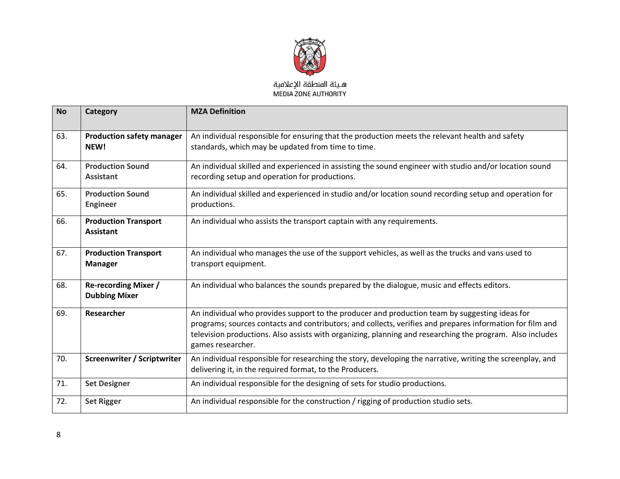

| <b>No</b> | Category                                            | <b>MZA Definition</b>                                                                                                                                                                                                                                                                                                                         |
|-----------|-----------------------------------------------------|-----------------------------------------------------------------------------------------------------------------------------------------------------------------------------------------------------------------------------------------------------------------------------------------------------------------------------------------------|
| 63.       | <b>Production safety manager</b><br>NEW!            | An individual responsible for ensuring that the production meets the relevant health and safety<br>standards, which may be updated from time to time.                                                                                                                                                                                         |
| 64.       | <b>Production Sound</b><br><b>Assistant</b>         | An individual skilled and experienced in assisting the sound engineer with studio and/or location sound<br>recording setup and operation for productions.                                                                                                                                                                                     |
| 65.       | <b>Production Sound</b><br><b>Engineer</b>          | An individual skilled and experienced in studio and/or location sound recording setup and operation for<br>productions.                                                                                                                                                                                                                       |
| 66.       | <b>Production Transport</b><br><b>Assistant</b>     | An individual who assists the transport captain with any requirements.                                                                                                                                                                                                                                                                        |
| 67.       | <b>Production Transport</b><br><b>Manager</b>       | An individual who manages the use of the support vehicles, as well as the trucks and vans used to<br>transport equipment.                                                                                                                                                                                                                     |
| 68.       | <b>Re-recording Mixer /</b><br><b>Dubbing Mixer</b> | An individual who balances the sounds prepared by the dialogue, music and effects editors.                                                                                                                                                                                                                                                    |
| 69.       | Researcher                                          | An individual who provides support to the producer and production team by suggesting ideas for<br>programs; sources contacts and contributors; and collects, verifies and prepares information for film and<br>television productions. Also assists with organizing, planning and researching the program. Also includes<br>games researcher. |
| 70.       | <b>Screenwriter / Scriptwriter</b>                  | An individual responsible for researching the story, developing the narrative, writing the screenplay, and<br>delivering it, in the required format, to the Producers.                                                                                                                                                                        |
| 71.       | <b>Set Designer</b>                                 | An individual responsible for the designing of sets for studio productions.                                                                                                                                                                                                                                                                   |
| 72.       | <b>Set Rigger</b>                                   | An individual responsible for the construction / rigging of production studio sets.                                                                                                                                                                                                                                                           |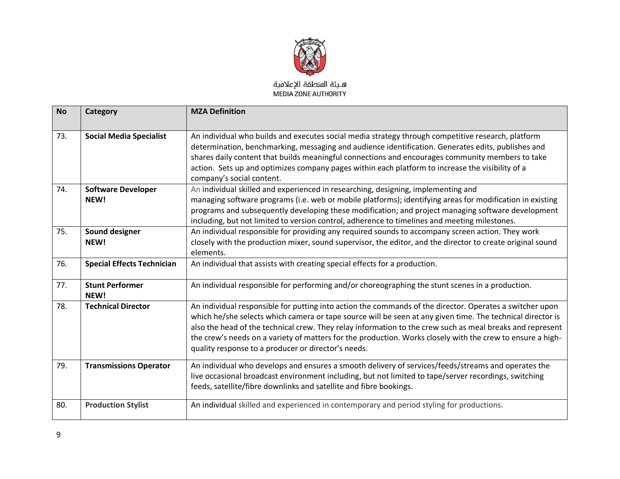

| <b>No</b> | Category                          | <b>MZA Definition</b>                                                                                                                                                                                                                                                                                                                                                                                                                                                                                    |
|-----------|-----------------------------------|----------------------------------------------------------------------------------------------------------------------------------------------------------------------------------------------------------------------------------------------------------------------------------------------------------------------------------------------------------------------------------------------------------------------------------------------------------------------------------------------------------|
| 73.       | <b>Social Media Specialist</b>    | An individual who builds and executes social media strategy through competitive research, platform<br>determination, benchmarking, messaging and audience identification. Generates edits, publishes and<br>shares daily content that builds meaningful connections and encourages community members to take<br>action. Sets up and optimizes company pages within each platform to increase the visibility of a<br>company's social content.                                                            |
| 74.       | <b>Software Developer</b><br>NEW! | An individual skilled and experienced in researching, designing, implementing and<br>managing software programs (i.e. web or mobile platforms); identifying areas for modification in existing<br>programs and subsequently developing these modification; and project managing software development<br>including, but not limited to version control, adherence to timelines and meeting milestones.                                                                                                    |
| 75.       | Sound designer<br>NEW!            | An individual responsible for providing any required sounds to accompany screen action. They work<br>closely with the production mixer, sound supervisor, the editor, and the director to create original sound<br>elements.                                                                                                                                                                                                                                                                             |
| 76.       | <b>Special Effects Technician</b> | An individual that assists with creating special effects for a production.                                                                                                                                                                                                                                                                                                                                                                                                                               |
| 77.       | <b>Stunt Performer</b><br>NEW!    | An individual responsible for performing and/or choreographing the stunt scenes in a production.                                                                                                                                                                                                                                                                                                                                                                                                         |
| 78.       | <b>Technical Director</b>         | An individual responsible for putting into action the commands of the director. Operates a switcher upon<br>which he/she selects which camera or tape source will be seen at any given time. The technical director is<br>also the head of the technical crew. They relay information to the crew such as meal breaks and represent<br>the crew's needs on a variety of matters for the production. Works closely with the crew to ensure a high-<br>quality response to a producer or director's needs. |
| 79.       | <b>Transmissions Operator</b>     | An individual who develops and ensures a smooth delivery of services/feeds/streams and operates the<br>live occasional broadcast environment including, but not limited to tape/server recordings, switching<br>feeds, satellite/fibre downlinks and satellite and fibre bookings.                                                                                                                                                                                                                       |
| 80.       | <b>Production Stylist</b>         | An individual skilled and experienced in contemporary and period styling for productions.                                                                                                                                                                                                                                                                                                                                                                                                                |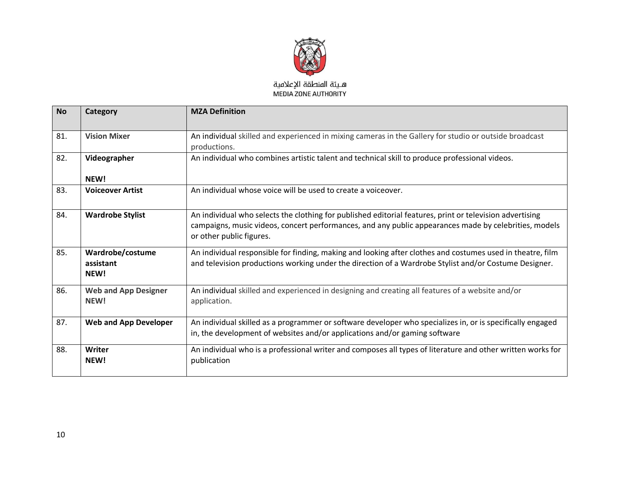

| <b>No</b> | Category                              | <b>MZA Definition</b>                                                                                                                                                                                                                         |
|-----------|---------------------------------------|-----------------------------------------------------------------------------------------------------------------------------------------------------------------------------------------------------------------------------------------------|
| 81.       | <b>Vision Mixer</b>                   | An individual skilled and experienced in mixing cameras in the Gallery for studio or outside broadcast<br>productions.                                                                                                                        |
| 82.       | Videographer<br>NEW!                  | An individual who combines artistic talent and technical skill to produce professional videos.                                                                                                                                                |
| 83.       | <b>Voiceover Artist</b>               | An individual whose voice will be used to create a voiceover.                                                                                                                                                                                 |
| 84.       | <b>Wardrobe Stylist</b>               | An individual who selects the clothing for published editorial features, print or television advertising<br>campaigns, music videos, concert performances, and any public appearances made by celebrities, models<br>or other public figures. |
| 85.       | Wardrobe/costume<br>assistant<br>NEW! | An individual responsible for finding, making and looking after clothes and costumes used in theatre, film<br>and television productions working under the direction of a Wardrobe Stylist and/or Costume Designer.                           |
| 86.       | <b>Web and App Designer</b><br>NEW!   | An individual skilled and experienced in designing and creating all features of a website and/or<br>application.                                                                                                                              |
| 87.       | <b>Web and App Developer</b>          | An individual skilled as a programmer or software developer who specializes in, or is specifically engaged<br>in, the development of websites and/or applications and/or gaming software                                                      |
| 88.       | Writer<br>NEW!                        | An individual who is a professional writer and composes all types of literature and other written works for<br>publication                                                                                                                    |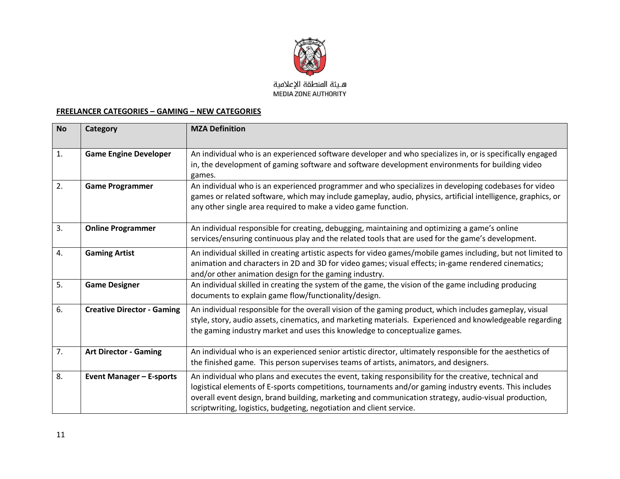

MEDIA ZONE AUTHORITY

## **FREELANCER CATEGORIES – GAMING – NEW CATEGORIES**

| <b>No</b> | Category                          | <b>MZA Definition</b>                                                                                                                                                                                                                                                                                                                                                                           |
|-----------|-----------------------------------|-------------------------------------------------------------------------------------------------------------------------------------------------------------------------------------------------------------------------------------------------------------------------------------------------------------------------------------------------------------------------------------------------|
| 1.        | <b>Game Engine Developer</b>      | An individual who is an experienced software developer and who specializes in, or is specifically engaged<br>in, the development of gaming software and software development environments for building video<br>games.                                                                                                                                                                          |
| 2.        | <b>Game Programmer</b>            | An individual who is an experienced programmer and who specializes in developing codebases for video<br>games or related software, which may include gameplay, audio, physics, artificial intelligence, graphics, or<br>any other single area required to make a video game function.                                                                                                           |
| 3.        | <b>Online Programmer</b>          | An individual responsible for creating, debugging, maintaining and optimizing a game's online<br>services/ensuring continuous play and the related tools that are used for the game's development.                                                                                                                                                                                              |
| 4.        | <b>Gaming Artist</b>              | An individual skilled in creating artistic aspects for video games/mobile games including, but not limited to<br>animation and characters in 2D and 3D for video games; visual effects; in-game rendered cinematics;<br>and/or other animation design for the gaming industry.                                                                                                                  |
| 5.        | <b>Game Designer</b>              | An individual skilled in creating the system of the game, the vision of the game including producing<br>documents to explain game flow/functionality/design.                                                                                                                                                                                                                                    |
| 6.        | <b>Creative Director - Gaming</b> | An individual responsible for the overall vision of the gaming product, which includes gameplay, visual<br>style, story, audio assets, cinematics, and marketing materials. Experienced and knowledgeable regarding<br>the gaming industry market and uses this knowledge to conceptualize games.                                                                                               |
| 7.        | <b>Art Director - Gaming</b>      | An individual who is an experienced senior artistic director, ultimately responsible for the aesthetics of<br>the finished game. This person supervises teams of artists, animators, and designers.                                                                                                                                                                                             |
| 8.        | <b>Event Manager - E-sports</b>   | An individual who plans and executes the event, taking responsibility for the creative, technical and<br>logistical elements of E-sports competitions, tournaments and/or gaming industry events. This includes<br>overall event design, brand building, marketing and communication strategy, audio-visual production,<br>scriptwriting, logistics, budgeting, negotiation and client service. |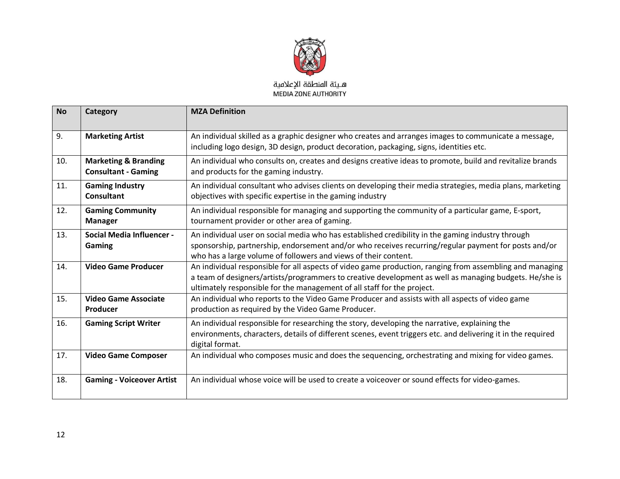

| <b>No</b> | Category                                                      | <b>MZA Definition</b>                                                                                                                                                                                                                                                                         |
|-----------|---------------------------------------------------------------|-----------------------------------------------------------------------------------------------------------------------------------------------------------------------------------------------------------------------------------------------------------------------------------------------|
| 9.        | <b>Marketing Artist</b>                                       | An individual skilled as a graphic designer who creates and arranges images to communicate a message,<br>including logo design, 3D design, product decoration, packaging, signs, identities etc.                                                                                              |
| 10.       | <b>Marketing &amp; Branding</b><br><b>Consultant - Gaming</b> | An individual who consults on, creates and designs creative ideas to promote, build and revitalize brands<br>and products for the gaming industry.                                                                                                                                            |
| 11.       | <b>Gaming Industry</b><br><b>Consultant</b>                   | An individual consultant who advises clients on developing their media strategies, media plans, marketing<br>objectives with specific expertise in the gaming industry                                                                                                                        |
| 12.       | <b>Gaming Community</b><br><b>Manager</b>                     | An individual responsible for managing and supporting the community of a particular game, E-sport,<br>tournament provider or other area of gaming.                                                                                                                                            |
| 13.       | <b>Social Media Influencer -</b><br><b>Gaming</b>             | An individual user on social media who has established credibility in the gaming industry through<br>sponsorship, partnership, endorsement and/or who receives recurring/regular payment for posts and/or<br>who has a large volume of followers and views of their content.                  |
| 14.       | <b>Video Game Producer</b>                                    | An individual responsible for all aspects of video game production, ranging from assembling and managing<br>a team of designers/artists/programmers to creative development as well as managing budgets. He/she is<br>ultimately responsible for the management of all staff for the project. |
| 15.       | <b>Video Game Associate</b><br>Producer                       | An individual who reports to the Video Game Producer and assists with all aspects of video game<br>production as required by the Video Game Producer.                                                                                                                                         |
| 16.       | <b>Gaming Script Writer</b>                                   | An individual responsible for researching the story, developing the narrative, explaining the<br>environments, characters, details of different scenes, event triggers etc. and delivering it in the required<br>digital format.                                                              |
| 17.       | <b>Video Game Composer</b>                                    | An individual who composes music and does the sequencing, orchestrating and mixing for video games.                                                                                                                                                                                           |
| 18.       | <b>Gaming - Voiceover Artist</b>                              | An individual whose voice will be used to create a voiceover or sound effects for video-games.                                                                                                                                                                                                |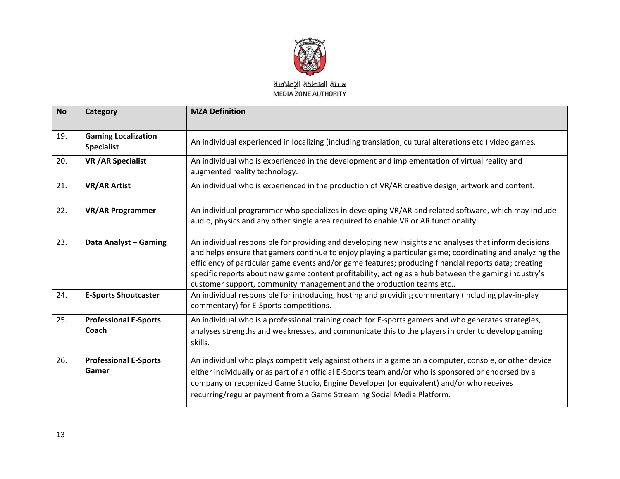

| <b>No</b> | Category                                        | <b>MZA Definition</b>                                                                                                                                                                                                                                                                                                                                                                                                                                                                                      |
|-----------|-------------------------------------------------|------------------------------------------------------------------------------------------------------------------------------------------------------------------------------------------------------------------------------------------------------------------------------------------------------------------------------------------------------------------------------------------------------------------------------------------------------------------------------------------------------------|
| 19.       | <b>Gaming Localization</b><br><b>Specialist</b> | An individual experienced in localizing (including translation, cultural alterations etc.) video games.                                                                                                                                                                                                                                                                                                                                                                                                    |
| 20.       | <b>VR / AR Specialist</b>                       | An individual who is experienced in the development and implementation of virtual reality and<br>augmented reality technology.                                                                                                                                                                                                                                                                                                                                                                             |
| 21.       | <b>VR/AR Artist</b>                             | An individual who is experienced in the production of VR/AR creative design, artwork and content.                                                                                                                                                                                                                                                                                                                                                                                                          |
| 22.       | <b>VR/AR Programmer</b>                         | An individual programmer who specializes in developing VR/AR and related software, which may include<br>audio, physics and any other single area required to enable VR or AR functionality.                                                                                                                                                                                                                                                                                                                |
| 23.       | Data Analyst - Gaming                           | An individual responsible for providing and developing new insights and analyses that inform decisions<br>and helps ensure that gamers continue to enjoy playing a particular game; coordinating and analyzing the<br>efficiency of particular game events and/or game features; producing financial reports data; creating<br>specific reports about new game content profitability; acting as a hub between the gaming industry's<br>customer support, community management and the production teams etc |
| 24.       | <b>E-Sports Shoutcaster</b>                     | An individual responsible for introducing, hosting and providing commentary (including play-in-play<br>commentary) for E-Sports competitions.                                                                                                                                                                                                                                                                                                                                                              |
| 25.       | <b>Professional E-Sports</b><br>Coach           | An individual who is a professional training coach for E-sports gamers and who generates strategies,<br>analyses strengths and weaknesses, and communicate this to the players in order to develop gaming<br>skills.                                                                                                                                                                                                                                                                                       |
| 26.       | <b>Professional E-Sports</b><br>Gamer           | An individual who plays competitively against others in a game on a computer, console, or other device<br>either individually or as part of an official E-Sports team and/or who is sponsored or endorsed by a<br>company or recognized Game Studio, Engine Developer (or equivalent) and/or who receives<br>recurring/regular payment from a Game Streaming Social Media Platform.                                                                                                                        |